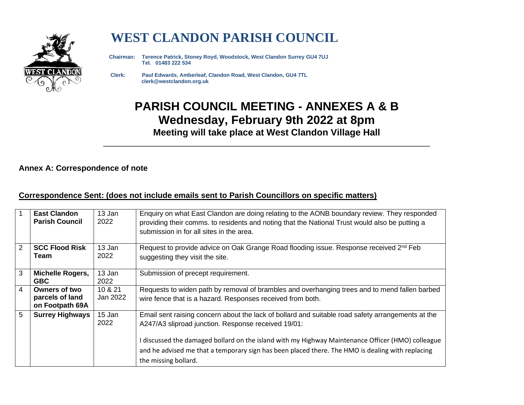

# **WEST CLANDON PARISH COUNCIL**

 **Chairman: Terence Patrick, Stoney Royd, Woodstock, West Clandon Surrey GU4 7UJ Tel. 01483 222 534** 

 **Clerk: Paul Edwards, Amberleaf, Clandon Road, West Clandon, GU4 7TL clerk@westclandon.org.uk**

## **PARISH COUNCIL MEETING - ANNEXES A & B Wednesday, February 9th 2022 at 8pm Meeting will take place at West Clandon Village Hall**

\_\_\_\_\_\_\_\_\_\_\_\_\_\_\_\_\_\_\_\_\_\_\_\_\_\_\_\_\_\_\_\_\_\_\_\_\_\_\_\_\_\_\_\_\_\_\_\_\_\_\_\_\_\_\_\_\_\_\_\_\_\_\_\_\_\_\_\_\_\_\_\_\_\_

#### **Annex A: Correspondence of note**

#### **Correspondence Sent: (does not include emails sent to Parish Councillors on specific matters)**

| $\overline{1}$ | <b>East Clandon</b><br><b>Parish Council</b>        | 13 Jan<br>2022      | Enquiry on what East Clandon are doing relating to the AONB boundary review. They responded<br>providing their comms. to residents and noting that the National Trust would also be putting a<br>submission in for all sites in the area.                                                                                                                                                 |
|----------------|-----------------------------------------------------|---------------------|-------------------------------------------------------------------------------------------------------------------------------------------------------------------------------------------------------------------------------------------------------------------------------------------------------------------------------------------------------------------------------------------|
| $\overline{2}$ | <b>SCC Flood Risk</b><br>Team                       | 13 Jan<br>2022      | Request to provide advice on Oak Grange Road flooding issue. Response received 2 <sup>nd</sup> Feb<br>suggesting they visit the site.                                                                                                                                                                                                                                                     |
| 3              | <b>Michelle Rogers,</b><br><b>GBC</b>               | 13 Jan<br>2022      | Submission of precept requirement.                                                                                                                                                                                                                                                                                                                                                        |
| $\overline{4}$ | Owners of two<br>parcels of land<br>on Footpath 69A | 10 & 21<br>Jan 2022 | Requests to widen path by removal of brambles and overhanging trees and to mend fallen barbed<br>wire fence that is a hazard. Responses received from both.                                                                                                                                                                                                                               |
| 5              | <b>Surrey Highways</b>                              | 15 Jan<br>2022      | Email sent raising concern about the lack of bollard and suitable road safety arrangements at the<br>A247/A3 sliproad junction. Response received 19/01:<br>I discussed the damaged bollard on the island with my Highway Maintenance Officer (HMO) colleague<br>and he advised me that a temporary sign has been placed there. The HMO is dealing with replacing<br>the missing bollard. |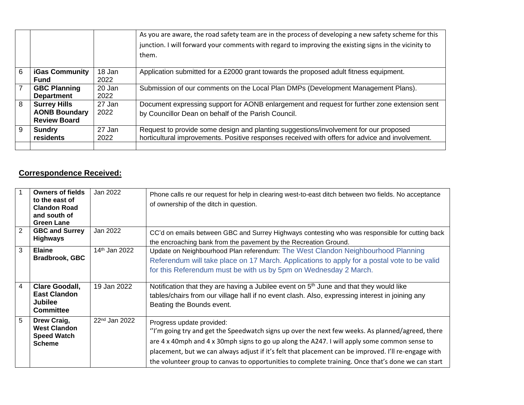|                |                                                                    |                | As you are aware, the road safety team are in the process of developing a new safety scheme for this<br>junction. I will forward your comments with regard to improving the existing signs in the vicinity to<br>them. |
|----------------|--------------------------------------------------------------------|----------------|------------------------------------------------------------------------------------------------------------------------------------------------------------------------------------------------------------------------|
| 6              | <b>iGas Community</b><br><b>Fund</b>                               | 18 Jan<br>2022 | Application submitted for a £2000 grant towards the proposed adult fitness equipment.                                                                                                                                  |
| $\overline{7}$ | <b>GBC Planning</b><br><b>Department</b>                           | 20 Jan<br>2022 | Submission of our comments on the Local Plan DMPs (Development Management Plans).                                                                                                                                      |
| 8              | <b>Surrey Hills</b><br><b>AONB Boundary</b><br><b>Review Board</b> | 27 Jan<br>2022 | Document expressing support for AONB enlargement and request for further zone extension sent<br>by Councillor Dean on behalf of the Parish Council.                                                                    |
| 9              | <b>Sundry</b><br>residents                                         | 27 Jan<br>2022 | Request to provide some design and planting suggestions/involvement for our proposed<br>horticultural improvements. Positive responses received with offers for advice and involvement.                                |

#### **Correspondence Received:**

|                | <b>Owners of fields</b><br>to the east of<br><b>Clandon Road</b><br>and south of<br><b>Green Lane</b> | Jan 2022                  | Phone calls re our request for help in clearing west-to-east ditch between two fields. No acceptance<br>of ownership of the ditch in question.                                                                                                                                                                                                                                                                                              |
|----------------|-------------------------------------------------------------------------------------------------------|---------------------------|---------------------------------------------------------------------------------------------------------------------------------------------------------------------------------------------------------------------------------------------------------------------------------------------------------------------------------------------------------------------------------------------------------------------------------------------|
| $\overline{2}$ | <b>GBC and Surrey</b><br><b>Highways</b>                                                              | Jan 2022                  | CC'd on emails between GBC and Surrey Highways contesting who was responsible for cutting back<br>the encroaching bank from the pavement by the Recreation Ground.                                                                                                                                                                                                                                                                          |
| 3              | <b>Elaine</b><br><b>Bradbrook, GBC</b>                                                                | 14 <sup>th</sup> Jan 2022 | Update on Neighbourhood Plan referendum: The West Clandon Neighbourhood Planning<br>Referendum will take place on 17 March. Applications to apply for a postal vote to be valid<br>for this Referendum must be with us by 5pm on Wednesday 2 March.                                                                                                                                                                                         |
| 4              | Clare Goodall,<br><b>East Clandon</b><br><b>Jubilee</b><br><b>Committee</b>                           | 19 Jan 2022               | Notification that they are having a Jubilee event on 5 <sup>th</sup> June and that they would like<br>tables/chairs from our village hall if no event clash. Also, expressing interest in joining any<br>Beating the Bounds event.                                                                                                                                                                                                          |
| 5              | Drew Craig,<br><b>West Clandon</b><br><b>Speed Watch</b><br><b>Scheme</b>                             | $22nd$ Jan 2022           | Progress update provided:<br>"I'm going try and get the Speedwatch signs up over the next few weeks. As planned/agreed, there<br>are 4 x 40mph and 4 x 30mph signs to go up along the A247. I will apply some common sense to<br>placement, but we can always adjust if it's felt that placement can be improved. I'll re-engage with<br>the volunteer group to canvas to opportunities to complete training. Once that's done we can start |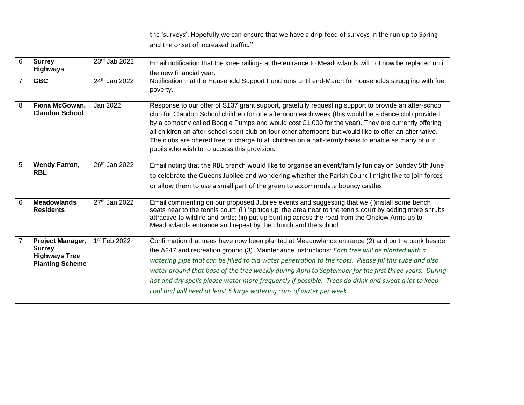|                |                                                                                     |                           | the 'surveys'. Hopefully we can ensure that we have a drip-feed of surveys in the run up to Spring<br>and the onset of increased traffic."                                                                                                                                                                                                                                                                                                                                                                                                                                                           |
|----------------|-------------------------------------------------------------------------------------|---------------------------|------------------------------------------------------------------------------------------------------------------------------------------------------------------------------------------------------------------------------------------------------------------------------------------------------------------------------------------------------------------------------------------------------------------------------------------------------------------------------------------------------------------------------------------------------------------------------------------------------|
| 6              | <b>Surrey</b><br><b>Highways</b>                                                    | 23rd Jab 2022             | Email notification that the knee railings at the entrance to Meadowlands will not now be replaced until<br>the new financial year.                                                                                                                                                                                                                                                                                                                                                                                                                                                                   |
| $\overline{7}$ | <b>GBC</b>                                                                          | 24th Jan 2022             | Notification that the Household Support Fund runs until end-March for households struggling with fuel<br>poverty.                                                                                                                                                                                                                                                                                                                                                                                                                                                                                    |
| 8              | Fiona McGowan,<br><b>Clandon School</b>                                             | Jan 2022                  | Response to our offer of S137 grant support, gratefully requesting support to provide an after-school<br>club for Clandon School children for one afternoon each week (this would be a dance club provided<br>by a company called Boogie Pumps and would cost £1,000 for the year). They are currently offering<br>all children an after-school sport club on four other afternoons but would like to offer an alternative.<br>The clubs are offered free of charge to all children on a half-termly basis to enable as many of our<br>pupils who wish to to access this provision.                  |
| 5              | <b>Wendy Farron,</b><br><b>RBL</b>                                                  | 26th Jan 2022             | Email noting that the RBL branch would like to organise an event/family fun day on Sunday 5th June<br>to celebrate the Queens Jubilee and wondering whether the Parish Council might like to join forces<br>or allow them to use a small part of the green to accommodate bouncy castles.                                                                                                                                                                                                                                                                                                            |
| 6              | <b>Meadowlands</b><br><b>Residents</b>                                              | 27 <sup>th</sup> Jan 2022 | Email commenting on our proposed Jubilee events and suggesting that we (i)install some bench<br>seats near to the tennis court; (ii) 'spruce up' the area near to the tennis court by adding more shrubs<br>attractive to wildlife and birds; (iii) put up bunting across the road from the Onslow Arms up to<br>Meadowlands entrance and repeat by the church and the school.                                                                                                                                                                                                                       |
| 7              | Project Manager,<br><b>Surrey</b><br><b>Highways Tree</b><br><b>Planting Scheme</b> | 1st Feb 2022              | Confirmation that trees have now been planted at Meadowlands entrance (2) and on the bank beside<br>the A247 and recreation ground (3). Maintenance instructions: Each tree will be planted with a<br>watering pipe that can be filled to aid water penetration to the roots. Please fill this tube and also<br>water around that base of the tree weekly during April to September for the first three years. During<br>hot and dry spells please water more frequently if possible. Trees do drink and sweat a lot to keep<br>cool and will need at least 5 large watering cans of water per week. |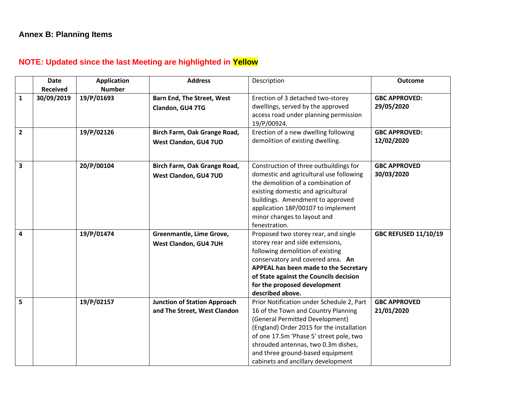### **NOTE: Updated since the last Meeting are highlighted in Yellow**

|                         | <b>Date</b>     | <b>Application</b> | <b>Address</b>                                                      | Description                                                                                                                                                                                                                                                                                                                  | <b>Outcome</b>                    |
|-------------------------|-----------------|--------------------|---------------------------------------------------------------------|------------------------------------------------------------------------------------------------------------------------------------------------------------------------------------------------------------------------------------------------------------------------------------------------------------------------------|-----------------------------------|
|                         | <b>Received</b> | <b>Number</b>      |                                                                     |                                                                                                                                                                                                                                                                                                                              |                                   |
| $\mathbf{1}$            | 30/09/2019      | 19/P/01693         | <b>Barn End, The Street, West</b>                                   | Erection of 3 detached two-storey                                                                                                                                                                                                                                                                                            | <b>GBC APPROVED:</b>              |
|                         |                 |                    | Clandon, GU4 7TG                                                    | dwellings, served by the approved<br>access road under planning permission<br>19/P/00924.                                                                                                                                                                                                                                    | 29/05/2020                        |
| $\mathbf{2}$            |                 | 19/P/02126         | Birch Farm, Oak Grange Road,                                        | Erection of a new dwelling following                                                                                                                                                                                                                                                                                         | <b>GBC APPROVED:</b>              |
|                         |                 |                    | West Clandon, GU4 7UD                                               | demolition of existing dwelling.                                                                                                                                                                                                                                                                                             | 12/02/2020                        |
| $\overline{\mathbf{3}}$ |                 | 20/P/00104         | Birch Farm, Oak Grange Road,                                        | Construction of three outbuildings for                                                                                                                                                                                                                                                                                       | <b>GBC APPROVED</b>               |
|                         |                 |                    | West Clandon, GU4 7UD                                               | domestic and agricultural use following<br>the demolition of a combination of<br>existing domestic and agricultural<br>buildings. Amendment to approved<br>application 18P/00107 to implement<br>minor changes to layout and<br>fenestration.                                                                                | 30/03/2020                        |
| 4                       |                 | 19/P/01474         | Greenmantle, Lime Grove,<br>West Clandon, GU4 7UH                   | Proposed two storey rear, and single<br>storey rear and side extensions,<br>following demolition of existing<br>conservatory and covered area. An<br>APPEAL has been made to the Secretary<br>of State against the Councils decision<br>for the proposed development<br>described above.                                     | <b>GBC REFUSED 11/10/19</b>       |
| 5                       |                 | 19/P/02157         | <b>Junction of Station Approach</b><br>and The Street, West Clandon | Prior Notification under Schedule 2, Part<br>16 of the Town and Country Planning<br>(General Permitted Development)<br>(England) Order 2015 for the installation<br>of one 17.5m 'Phase 5' street pole, two<br>shrouded antennas, two 0.3m dishes,<br>and three ground-based equipment<br>cabinets and ancillary development | <b>GBC APPROVED</b><br>21/01/2020 |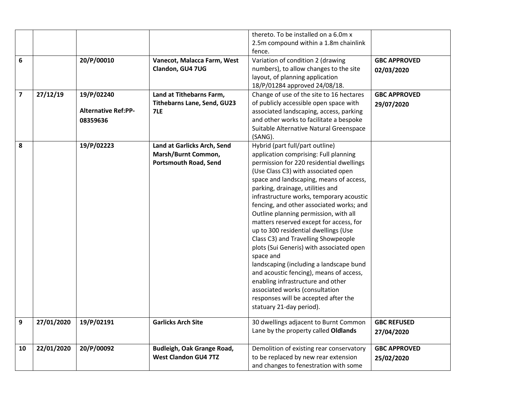|                         |            |                            |                                    | thereto. To be installed on a 6.0m x     |                     |
|-------------------------|------------|----------------------------|------------------------------------|------------------------------------------|---------------------|
|                         |            |                            |                                    | 2.5m compound within a 1.8m chainlink    |                     |
|                         |            |                            |                                    | fence.                                   |                     |
| 6                       |            | 20/P/00010                 | Vanecot, Malacca Farm, West        | Variation of condition 2 (drawing        | <b>GBC APPROVED</b> |
|                         |            |                            | Clandon, GU4 7UG                   | numbers), to allow changes to the site   |                     |
|                         |            |                            |                                    | layout, of planning application          | 02/03/2020          |
|                         |            |                            |                                    | 18/P/01284 approved 24/08/18.            |                     |
| $\overline{\mathbf{z}}$ | 27/12/19   | 19/P/02240                 | Land at Tithebarns Farm,           | Change of use of the site to 16 hectares | <b>GBC APPROVED</b> |
|                         |            |                            |                                    |                                          |                     |
|                         |            | <b>Alternative Ref:PP-</b> | <b>Tithebarns Lane, Send, GU23</b> | of publicly accessible open space with   | 29/07/2020          |
|                         |            |                            | 7LE                                | associated landscaping, access, parking  |                     |
|                         |            | 08359636                   |                                    | and other works to facilitate a bespoke  |                     |
|                         |            |                            |                                    | Suitable Alternative Natural Greenspace  |                     |
|                         |            |                            |                                    | (SANG).                                  |                     |
| 8                       |            | 19/P/02223                 | Land at Garlicks Arch, Send        | Hybrid (part full/part outline)          |                     |
|                         |            |                            | Marsh/Burnt Common,                | application comprising: Full planning    |                     |
|                         |            |                            | <b>Portsmouth Road, Send</b>       | permission for 220 residential dwellings |                     |
|                         |            |                            |                                    | (Use Class C3) with associated open      |                     |
|                         |            |                            |                                    | space and landscaping, means of access,  |                     |
|                         |            |                            |                                    | parking, drainage, utilities and         |                     |
|                         |            |                            |                                    | infrastructure works, temporary acoustic |                     |
|                         |            |                            |                                    | fencing, and other associated works; and |                     |
|                         |            |                            |                                    | Outline planning permission, with all    |                     |
|                         |            |                            |                                    | matters reserved except for access, for  |                     |
|                         |            |                            |                                    | up to 300 residential dwellings (Use     |                     |
|                         |            |                            |                                    | Class C3) and Travelling Showpeople      |                     |
|                         |            |                            |                                    | plots (Sui Generis) with associated open |                     |
|                         |            |                            |                                    | space and                                |                     |
|                         |            |                            |                                    | landscaping (including a landscape bund  |                     |
|                         |            |                            |                                    | and acoustic fencing), means of access,  |                     |
|                         |            |                            |                                    | enabling infrastructure and other        |                     |
|                         |            |                            |                                    | associated works (consultation           |                     |
|                         |            |                            |                                    | responses will be accepted after the     |                     |
|                         |            |                            |                                    | statuary 21-day period).                 |                     |
|                         |            |                            |                                    |                                          |                     |
| 9                       | 27/01/2020 | 19/P/02191                 | <b>Garlicks Arch Site</b>          | 30 dwellings adjacent to Burnt Common    | <b>GBC REFUSED</b>  |
|                         |            |                            |                                    | Lane by the property called Oldlands     | 27/04/2020          |
|                         |            |                            |                                    |                                          |                     |
| 10                      | 22/01/2020 | 20/P/00092                 | Budleigh, Oak Grange Road,         | Demolition of existing rear conservatory | <b>GBC APPROVED</b> |
|                         |            |                            | <b>West Clandon GU4 7TZ</b>        | to be replaced by new rear extension     | 25/02/2020          |
|                         |            |                            |                                    | and changes to fenestration with some    |                     |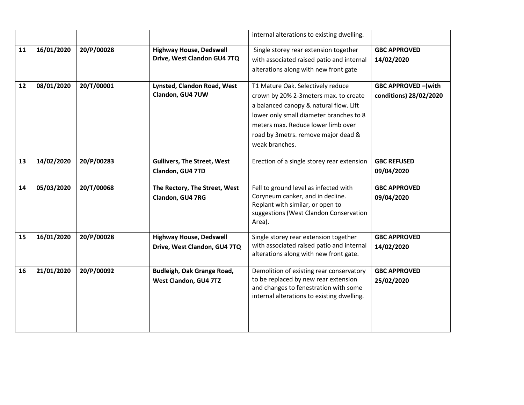|    |            |            |                                                                | internal alterations to existing dwelling.                                                                                                                                                                                                                      |                                                     |
|----|------------|------------|----------------------------------------------------------------|-----------------------------------------------------------------------------------------------------------------------------------------------------------------------------------------------------------------------------------------------------------------|-----------------------------------------------------|
| 11 | 16/01/2020 | 20/P/00028 | <b>Highway House, Dedswell</b><br>Drive, West Clandon GU4 7TQ  | Single storey rear extension together<br>with associated raised patio and internal<br>alterations along with new front gate                                                                                                                                     | <b>GBC APPROVED</b><br>14/02/2020                   |
| 12 | 08/01/2020 | 20/T/00001 | Lynsted, Clandon Road, West<br>Clandon, GU4 7UW                | T1 Mature Oak. Selectively reduce<br>crown by 20% 2-3 meters max. to create<br>a balanced canopy & natural flow. Lift<br>lower only small diameter branches to 8<br>meters max. Reduce lower limb over<br>road by 3metrs. remove major dead &<br>weak branches. | <b>GBC APPROVED-(with</b><br>conditions) 28/02/2020 |
| 13 | 14/02/2020 | 20/P/00283 | <b>Gullivers, The Street, West</b><br>Clandon, GU4 7TD         | Erection of a single storey rear extension                                                                                                                                                                                                                      | <b>GBC REFUSED</b><br>09/04/2020                    |
| 14 | 05/03/2020 | 20/T/00068 | The Rectory, The Street, West<br>Clandon, GU4 7RG              | Fell to ground level as infected with<br>Coryneum canker, and in decline.<br>Replant with similar, or open to<br>suggestions (West Clandon Conservation<br>Area).                                                                                               | <b>GBC APPROVED</b><br>09/04/2020                   |
| 15 | 16/01/2020 | 20/P/00028 | <b>Highway House, Dedswell</b><br>Drive, West Clandon, GU4 7TQ | Single storey rear extension together<br>with associated raised patio and internal<br>alterations along with new front gate.                                                                                                                                    | <b>GBC APPROVED</b><br>14/02/2020                   |
| 16 | 21/01/2020 | 20/P/00092 | Budleigh, Oak Grange Road,<br>West Clandon, GU4 7TZ            | Demolition of existing rear conservatory<br>to be replaced by new rear extension<br>and changes to fenestration with some<br>internal alterations to existing dwelling.                                                                                         | <b>GBC APPROVED</b><br>25/02/2020                   |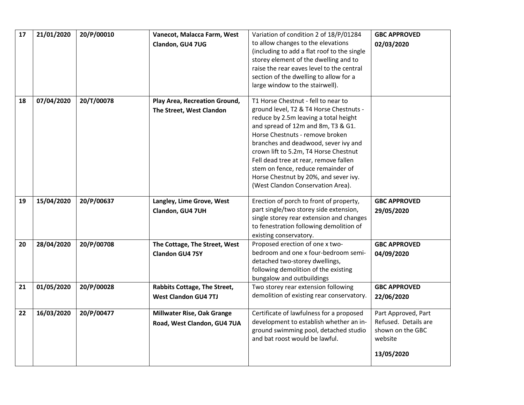| 17 | 21/01/2020 | 20/P/00010 | Vanecot, Malacca Farm, West       | Variation of condition 2 of 18/P/01284                                              | <b>GBC APPROVED</b>  |
|----|------------|------------|-----------------------------------|-------------------------------------------------------------------------------------|----------------------|
|    |            |            | Clandon, GU4 7UG                  | to allow changes to the elevations<br>(including to add a flat roof to the single   | 02/03/2020           |
|    |            |            |                                   | storey element of the dwelling and to                                               |                      |
|    |            |            |                                   | raise the rear eaves level to the central                                           |                      |
|    |            |            |                                   | section of the dwelling to allow for a                                              |                      |
|    |            |            |                                   | large window to the stairwell).                                                     |                      |
| 18 | 07/04/2020 | 20/T/00078 | Play Area, Recreation Ground,     | T1 Horse Chestnut - fell to near to                                                 |                      |
|    |            |            | The Street, West Clandon          | ground level, T2 & T4 Horse Chestnuts -                                             |                      |
|    |            |            |                                   | reduce by 2.5m leaving a total height                                               |                      |
|    |            |            |                                   | and spread of 12m and 8m, T3 & G1.<br>Horse Chestnuts - remove broken               |                      |
|    |            |            |                                   | branches and deadwood, sever ivy and                                                |                      |
|    |            |            |                                   | crown lift to 5.2m, T4 Horse Chestnut                                               |                      |
|    |            |            |                                   | Fell dead tree at rear, remove fallen                                               |                      |
|    |            |            |                                   | stem on fence, reduce remainder of                                                  |                      |
|    |            |            |                                   | Horse Chestnut by 20%, and sever ivy.                                               |                      |
|    |            |            |                                   | (West Clandon Conservation Area).                                                   |                      |
| 19 | 15/04/2020 | 20/P/00637 | Langley, Lime Grove, West         | Erection of porch to front of property,                                             | <b>GBC APPROVED</b>  |
|    |            |            | Clandon, GU4 7UH                  | part single/two storey side extension,                                              | 29/05/2020           |
|    |            |            |                                   | single storey rear extension and changes<br>to fenestration following demolition of |                      |
|    |            |            |                                   | existing conservatory.                                                              |                      |
| 20 | 28/04/2020 | 20/P/00708 | The Cottage, The Street, West     | Proposed erection of one x two-                                                     | <b>GBC APPROVED</b>  |
|    |            |            | <b>Clandon GU4 7SY</b>            | bedroom and one x four-bedroom semi-                                                | 04/09/2020           |
|    |            |            |                                   | detached two-storey dwellings,                                                      |                      |
|    |            |            |                                   | following demolition of the existing                                                |                      |
| 21 | 01/05/2020 | 20/P/00028 | Rabbits Cottage, The Street,      | bungalow and outbuildings<br>Two storey rear extension following                    | <b>GBC APPROVED</b>  |
|    |            |            |                                   | demolition of existing rear conservatory.                                           |                      |
|    |            |            | <b>West Clandon GU4 7TJ</b>       |                                                                                     | 22/06/2020           |
| 22 | 16/03/2020 | 20/P/00477 | <b>Millwater Rise, Oak Grange</b> | Certificate of lawfulness for a proposed                                            | Part Approved, Part  |
|    |            |            | Road, West Clandon, GU4 7UA       | development to establish whether an in-                                             | Refused. Details are |
|    |            |            |                                   | ground swimming pool, detached studio                                               | shown on the GBC     |
|    |            |            |                                   | and bat roost would be lawful.                                                      | website              |
|    |            |            |                                   |                                                                                     | 13/05/2020           |
|    |            |            |                                   |                                                                                     |                      |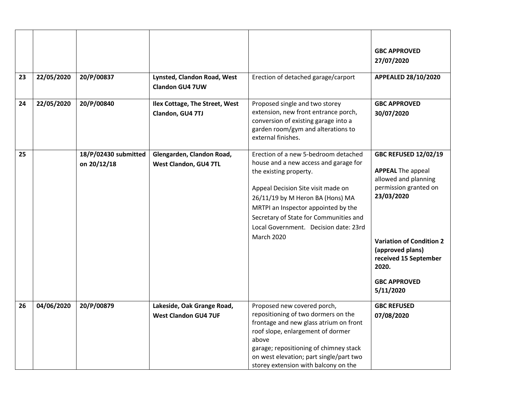| 23 | 22/05/2020 | 20/P/00837                          | Lynsted, Clandon Road, West<br>Clandon GU4 7UW            | Erection of detached garage/carport                                                                                                                                                                                                                                                                                              | <b>GBC APPROVED</b><br>27/07/2020<br>APPEALED 28/10/2020                                                                                                                                                                                            |
|----|------------|-------------------------------------|-----------------------------------------------------------|----------------------------------------------------------------------------------------------------------------------------------------------------------------------------------------------------------------------------------------------------------------------------------------------------------------------------------|-----------------------------------------------------------------------------------------------------------------------------------------------------------------------------------------------------------------------------------------------------|
| 24 | 22/05/2020 | 20/P/00840                          | Ilex Cottage, The Street, West<br>Clandon, GU4 7TJ        | Proposed single and two storey<br>extension, new front entrance porch,<br>conversion of existing garage into a<br>garden room/gym and alterations to<br>external finishes.                                                                                                                                                       | <b>GBC APPROVED</b><br>30/07/2020                                                                                                                                                                                                                   |
| 25 |            | 18/P/02430 submitted<br>on 20/12/18 | Glengarden, Clandon Road,<br>West Clandon, GU4 7TL        | Erection of a new 5-bedroom detached<br>house and a new access and garage for<br>the existing property.<br>Appeal Decision Site visit made on<br>26/11/19 by M Heron BA (Hons) MA<br>MRTPI an Inspector appointed by the<br>Secretary of State for Communities and<br>Local Government. Decision date: 23rd<br><b>March 2020</b> | <b>GBC REFUSED 12/02/19</b><br><b>APPEAL The appeal</b><br>allowed and planning<br>permission granted on<br>23/03/2020<br><b>Variation of Condition 2</b><br>(approved plans)<br>received 15 September<br>2020.<br><b>GBC APPROVED</b><br>5/11/2020 |
| 26 | 04/06/2020 | 20/P/00879                          | Lakeside, Oak Grange Road,<br><b>West Clandon GU4 7UF</b> | Proposed new covered porch,<br>repositioning of two dormers on the<br>frontage and new glass atrium on front<br>roof slope, enlargement of dormer<br>above<br>garage; repositioning of chimney stack<br>on west elevation; part single/part two<br>storey extension with balcony on the                                          | <b>GBC REFUSED</b><br>07/08/2020                                                                                                                                                                                                                    |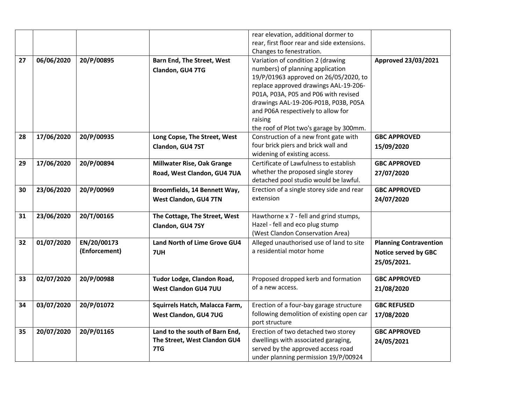|    |            |               |                                   | rear elevation, additional dormer to        |                               |
|----|------------|---------------|-----------------------------------|---------------------------------------------|-------------------------------|
|    |            |               |                                   | rear, first floor rear and side extensions. |                               |
|    |            |               |                                   | Changes to fenestration.                    |                               |
| 27 | 06/06/2020 | 20/P/00895    | <b>Barn End, The Street, West</b> | Variation of condition 2 (drawing           | Approved 23/03/2021           |
|    |            |               | Clandon, GU4 7TG                  | numbers) of planning application            |                               |
|    |            |               |                                   | 19/P/01963 approved on 26/05/2020, to       |                               |
|    |            |               |                                   | replace approved drawings AAL-19-206-       |                               |
|    |            |               |                                   | P01A, P03A, P05 and P06 with revised        |                               |
|    |            |               |                                   | drawings AAL-19-206-P01B, P03B, P05A        |                               |
|    |            |               |                                   | and P06A respectively to allow for          |                               |
|    |            |               |                                   | raising                                     |                               |
|    |            |               |                                   | the roof of Plot two's garage by 300mm.     |                               |
| 28 | 17/06/2020 | 20/P/00935    | Long Copse, The Street, West      | Construction of a new front gate with       | <b>GBC APPROVED</b>           |
|    |            |               | Clandon, GU4 7ST                  | four brick piers and brick wall and         | 15/09/2020                    |
|    |            |               |                                   | widening of existing access.                |                               |
| 29 | 17/06/2020 | 20/P/00894    | <b>Millwater Rise, Oak Grange</b> | Certificate of Lawfulness to establish      | <b>GBC APPROVED</b>           |
|    |            |               | Road, West Clandon, GU4 7UA       | whether the proposed single storey          | 27/07/2020                    |
|    |            |               |                                   | detached pool studio would be lawful.       |                               |
| 30 | 23/06/2020 | 20/P/00969    | Broomfields, 14 Bennett Way,      | Erection of a single storey side and rear   | <b>GBC APPROVED</b>           |
|    |            |               | West Clandon, GU4 7TN             | extension                                   | 24/07/2020                    |
|    |            |               |                                   |                                             |                               |
| 31 | 23/06/2020 | 20/T/00165    | The Cottage, The Street, West     | Hawthorne x 7 - fell and grind stumps,      |                               |
|    |            |               | Clandon, GU4 7SY                  | Hazel - fell and eco plug stump             |                               |
|    |            |               |                                   | (West Clandon Conservation Area)            |                               |
| 32 | 01/07/2020 | EN/20/00173   | Land North of Lime Grove GU4      | Alleged unauthorised use of land to site    | <b>Planning Contravention</b> |
|    |            | (Enforcement) | 7UH                               | a residential motor home                    | <b>Notice served by GBC</b>   |
|    |            |               |                                   |                                             | 25/05/2021.                   |
|    |            |               |                                   |                                             |                               |
| 33 | 02/07/2020 | 20/P/00988    | Tudor Lodge, Clandon Road,        | Proposed dropped kerb and formation         | <b>GBC APPROVED</b>           |
|    |            |               | <b>West Clandon GU4 7UU</b>       | of a new access.                            | 21/08/2020                    |
|    |            |               |                                   |                                             |                               |
| 34 | 03/07/2020 | 20/P/01072    | Squirrels Hatch, Malacca Farm,    | Erection of a four-bay garage structure     | <b>GBC REFUSED</b>            |
|    |            |               | West Clandon, GU4 7UG             | following demolition of existing open car   | 17/08/2020                    |
|    |            |               |                                   | port structure                              |                               |
| 35 | 20/07/2020 | 20/P/01165    | Land to the south of Barn End,    | Erection of two detached two storey         | <b>GBC APPROVED</b>           |
|    |            |               | The Street, West Clandon GU4      | dwellings with associated garaging,         | 24/05/2021                    |
|    |            |               | 7TG                               | served by the approved access road          |                               |
|    |            |               |                                   | under planning permission 19/P/00924        |                               |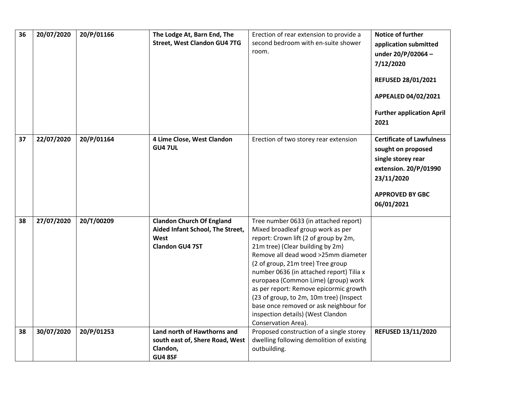| 36 | 20/07/2020 | 20/P/01166 | The Lodge At, Barn End, The<br><b>Street, West Clandon GU4 7TG</b>                                     | Erection of rear extension to provide a<br>second bedroom with en-suite shower<br>room.                                                                                                                                                                                                                                                                                                                                                                                                                           | Notice of further<br>application submitted<br>under 20/P/02064-<br>7/12/2020<br><b>REFUSED 28/01/2021</b><br>APPEALED 04/02/2021<br><b>Further application April</b><br>2021 |
|----|------------|------------|--------------------------------------------------------------------------------------------------------|-------------------------------------------------------------------------------------------------------------------------------------------------------------------------------------------------------------------------------------------------------------------------------------------------------------------------------------------------------------------------------------------------------------------------------------------------------------------------------------------------------------------|------------------------------------------------------------------------------------------------------------------------------------------------------------------------------|
| 37 | 22/07/2020 | 20/P/01164 | 4 Lime Close, West Clandon<br><b>GU4 7UL</b>                                                           | Erection of two storey rear extension                                                                                                                                                                                                                                                                                                                                                                                                                                                                             | <b>Certificate of Lawfulness</b><br>sought on proposed<br>single storey rear<br>extension. 20/P/01990<br>23/11/2020<br><b>APPROVED BY GBC</b><br>06/01/2021                  |
| 38 | 27/07/2020 | 20/T/00209 | <b>Clandon Church Of England</b><br>Aided Infant School, The Street,<br>West<br><b>Clandon GU4 7ST</b> | Tree number 0633 (in attached report)<br>Mixed broadleaf group work as per<br>report: Crown lift (2 of group by 2m,<br>21m tree) (Clear building by 2m)<br>Remove all dead wood >25mm diameter<br>(2 of group, 21m tree) Tree group<br>number 0636 (in attached report) Tilia x<br>europaea (Common Lime) (group) work<br>as per report: Remove epicormic growth<br>(23 of group, to 2m, 10m tree) (Inspect<br>base once removed or ask neighbour for<br>inspection details) (West Clandon<br>Conservation Area). |                                                                                                                                                                              |
| 38 | 30/07/2020 | 20/P/01253 | Land north of Hawthorns and<br>south east of, Shere Road, West<br>Clandon,<br>GU4 8SF                  | Proposed construction of a single storey<br>dwelling following demolition of existing<br>outbuilding.                                                                                                                                                                                                                                                                                                                                                                                                             | <b>REFUSED 13/11/2020</b>                                                                                                                                                    |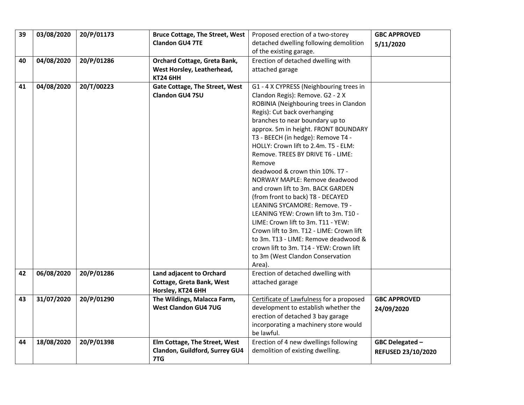| 39 | 03/08/2020 | 20/P/01173 | <b>Bruce Cottage, The Street, West</b> | Proposed erection of a two-storey        | <b>GBC APPROVED</b> |
|----|------------|------------|----------------------------------------|------------------------------------------|---------------------|
|    |            |            | <b>Clandon GU4 7TE</b>                 | detached dwelling following demolition   | 5/11/2020           |
|    |            |            |                                        | of the existing garage.                  |                     |
| 40 | 04/08/2020 | 20/P/01286 | Orchard Cottage, Greta Bank,           | Erection of detached dwelling with       |                     |
|    |            |            | West Horsley, Leatherhead,             | attached garage                          |                     |
|    |            |            | <b>KT24 6HH</b>                        |                                          |                     |
| 41 | 04/08/2020 | 20/T/00223 | Gate Cottage, The Street, West         | G1 - 4 X CYPRESS (Neighbouring trees in  |                     |
|    |            |            | Clandon GU4 7SU                        | Clandon Regis): Remove. G2 - 2 X         |                     |
|    |            |            |                                        | ROBINIA (Neighbouring trees in Clandon   |                     |
|    |            |            |                                        | Regis): Cut back overhanging             |                     |
|    |            |            |                                        | branches to near boundary up to          |                     |
|    |            |            |                                        | approx. 5m in height. FRONT BOUNDARY     |                     |
|    |            |            |                                        | T3 - BEECH (in hedge): Remove T4 -       |                     |
|    |            |            |                                        | HOLLY: Crown lift to 2.4m. T5 - ELM:     |                     |
|    |            |            |                                        | Remove. TREES BY DRIVE T6 - LIME:        |                     |
|    |            |            |                                        | Remove                                   |                     |
|    |            |            |                                        | deadwood & crown thin 10%. T7 -          |                     |
|    |            |            |                                        | NORWAY MAPLE: Remove deadwood            |                     |
|    |            |            |                                        | and crown lift to 3m. BACK GARDEN        |                     |
|    |            |            |                                        | (from front to back) T8 - DECAYED        |                     |
|    |            |            |                                        | LEANING SYCAMORE: Remove. T9 -           |                     |
|    |            |            |                                        | LEANING YEW: Crown lift to 3m. T10 -     |                     |
|    |            |            |                                        | LIME: Crown lift to 3m. T11 - YEW:       |                     |
|    |            |            |                                        | Crown lift to 3m. T12 - LIME: Crown lift |                     |
|    |            |            |                                        | to 3m. T13 - LIME: Remove deadwood &     |                     |
|    |            |            |                                        | crown lift to 3m. T14 - YEW: Crown lift  |                     |
|    |            |            |                                        | to 3m (West Clandon Conservation         |                     |
|    |            |            |                                        | Area).                                   |                     |
| 42 | 06/08/2020 | 20/P/01286 | Land adjacent to Orchard               | Erection of detached dwelling with       |                     |
|    |            |            | Cottage, Greta Bank, West              | attached garage                          |                     |
|    |            |            | Horsley, KT24 6HH                      |                                          |                     |
| 43 | 31/07/2020 | 20/P/01290 | The Wildings, Malacca Farm,            | Certificate of Lawfulness for a proposed | <b>GBC APPROVED</b> |
|    |            |            | <b>West Clandon GU4 7UG</b>            | development to establish whether the     | 24/09/2020          |
|    |            |            |                                        | erection of detached 3 bay garage        |                     |
|    |            |            |                                        | incorporating a machinery store would    |                     |
|    |            |            |                                        | be lawful.                               |                     |
| 44 | 18/08/2020 | 20/P/01398 | Elm Cottage, The Street, West          | Erection of 4 new dwellings following    | GBC Delegated -     |
|    |            |            | Clandon, Guildford, Surrey GU4         | demolition of existing dwelling.         | REFUSED 23/10/2020  |
|    |            |            | 7TG                                    |                                          |                     |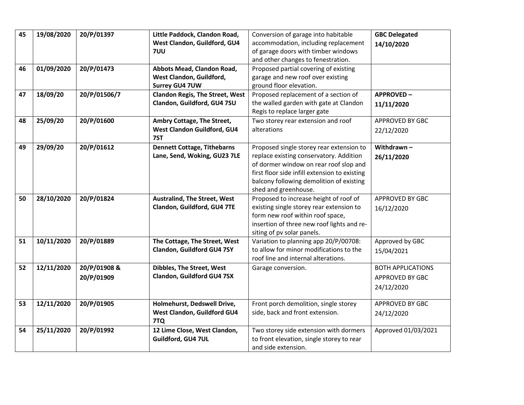| 45<br>19/08/2020<br>20/P/01397<br>Little Paddock, Clandon Road,<br>Conversion of garage into habitable<br><b>GBC Delegated</b><br>West Clandon, Guildford, GU4<br>accommodation, including replacement<br>14/10/2020 |
|----------------------------------------------------------------------------------------------------------------------------------------------------------------------------------------------------------------------|
|                                                                                                                                                                                                                      |
|                                                                                                                                                                                                                      |
| of garage doors with timber windows<br>7UU                                                                                                                                                                           |
| and other changes to fenestration.                                                                                                                                                                                   |
| 01/09/2020<br>20/P/01473<br>Proposed partial covering of existing<br>46<br>Abbots Mead, Clandon Road,                                                                                                                |
| West Clandon, Guildford,<br>garage and new roof over existing                                                                                                                                                        |
| <b>Surrey GU4 7UW</b><br>ground floor elevation.                                                                                                                                                                     |
| 18/09/20<br>20/P/01506/7<br><b>Clandon Regis, The Street, West</b><br>Proposed replacement of a section of<br><b>APPROVED-</b><br>47                                                                                 |
| Clandon, Guildford, GU4 7SU<br>the walled garden with gate at Clandon<br>11/11/2020                                                                                                                                  |
| Regis to replace larger gate                                                                                                                                                                                         |
| 25/09/20<br>20/P/01600<br>Ambry Cottage, The Street,<br>Two storey rear extension and roof<br>APPROVED BY GBC<br>48                                                                                                  |
| West Clandon Guildford, GU4<br>alterations<br>22/12/2020                                                                                                                                                             |
| 7ST                                                                                                                                                                                                                  |
| 29/09/20<br>20/P/01612<br><b>Dennett Cottage, Tithebarns</b><br>Withdrawn-<br>Proposed single storey rear extension to<br>49                                                                                         |
| Lane, Send, Woking, GU23 7LE<br>replace existing conservatory. Addition<br>26/11/2020                                                                                                                                |
| of dormer window on rear roof slop and                                                                                                                                                                               |
| first floor side infill extension to existing                                                                                                                                                                        |
| balcony following demolition of existing                                                                                                                                                                             |
| shed and greenhouse.                                                                                                                                                                                                 |
| 28/10/2020<br>20/P/01824<br><b>Australind, The Street, West</b><br>Proposed to increase height of roof of<br>50<br>APPROVED BY GBC                                                                                   |
| Clandon, Guildford, GU4 7TE<br>existing single storey rear extension to<br>16/12/2020                                                                                                                                |
| form new roof within roof space,                                                                                                                                                                                     |
| insertion of three new roof lights and re-                                                                                                                                                                           |
| siting of pv solar panels.                                                                                                                                                                                           |
| 10/11/2020<br>Variation to planning app 20/P/00708:<br>20/P/01889<br>The Cottage, The Street, West<br>Approved by GBC<br>51                                                                                          |
| to allow for minor modifications to the<br>Clandon, Guildford GU4 7SY<br>15/04/2021                                                                                                                                  |
| roof line and internal alterations.                                                                                                                                                                                  |
| 12/11/2020<br>20/P/01908 &<br>Dibbles, The Street, West<br><b>BOTH APPLICATIONS</b><br>52<br>Garage conversion.                                                                                                      |
| Clandon, Guildford GU4 7SX<br>20/P/01909<br>APPROVED BY GBC                                                                                                                                                          |
| 24/12/2020                                                                                                                                                                                                           |
|                                                                                                                                                                                                                      |
| 12/11/2020<br>20/P/01905<br>Holmehurst, Dedswell Drive,<br>Front porch demolition, single storey<br>APPROVED BY GBC<br>53                                                                                            |
| West Clandon, Guildford GU4<br>side, back and front extension.<br>24/12/2020                                                                                                                                         |
| 7TQ                                                                                                                                                                                                                  |
| 25/11/2020<br>20/P/01992<br>12 Lime Close, West Clandon,<br>Two storey side extension with dormers<br>Approved 01/03/2021<br>54                                                                                      |
| Guildford, GU4 7UL<br>to front elevation, single storey to rear                                                                                                                                                      |
| and side extension.                                                                                                                                                                                                  |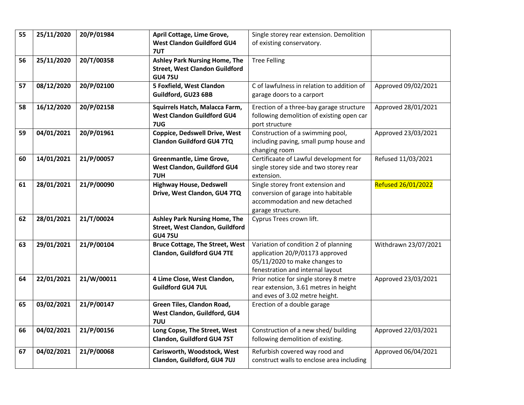| 55 | 25/11/2020 | 20/P/01984 | April Cottage, Lime Grove,             | Single storey rear extension. Demolition   |                      |
|----|------------|------------|----------------------------------------|--------------------------------------------|----------------------|
|    |            |            | <b>West Clandon Guildford GU4</b>      |                                            |                      |
|    |            |            |                                        | of existing conservatory.                  |                      |
|    |            |            | 7UT                                    |                                            |                      |
| 56 | 25/11/2020 | 20/T/00358 | <b>Ashley Park Nursing Home, The</b>   | <b>Tree Felling</b>                        |                      |
|    |            |            | <b>Street, West Clandon Guildford</b>  |                                            |                      |
|    |            |            | <b>GU4 7SU</b>                         |                                            |                      |
| 57 | 08/12/2020 | 20/P/02100 | 5 Foxfield, West Clandon               | C of lawfulness in relation to addition of | Approved 09/02/2021  |
|    |            |            | Guildford, GU23 6BB                    | garage doors to a carport                  |                      |
|    |            |            |                                        |                                            |                      |
| 58 | 16/12/2020 | 20/P/02158 | Squirrels Hatch, Malacca Farm,         | Erection of a three-bay garage structure   | Approved 28/01/2021  |
|    |            |            | <b>West Clandon Guildford GU4</b>      | following demolition of existing open car  |                      |
|    |            |            | 7UG                                    | port structure                             |                      |
| 59 | 04/01/2021 | 20/P/01961 | <b>Coppice, Dedswell Drive, West</b>   | Construction of a swimming pool,           | Approved 23/03/2021  |
|    |            |            | <b>Clandon Guildford GU4 7TQ</b>       | including paving, small pump house and     |                      |
|    |            |            |                                        | changing room                              |                      |
| 60 | 14/01/2021 | 21/P/00057 | Greenmantle, Lime Grove,               | Certificaate of Lawful development for     | Refused 11/03/2021   |
|    |            |            | West Clandon, Guildford GU4            |                                            |                      |
|    |            |            |                                        | single storey side and two storey rear     |                      |
|    |            |            | 7UH                                    | extension.                                 |                      |
| 61 | 28/01/2021 | 21/P/00090 | <b>Highway House, Dedswell</b>         | Single storey front extension and          | Refused 26/01/2022   |
|    |            |            | Drive, West Clandon, GU4 7TQ           | conversion of garage into habitable        |                      |
|    |            |            |                                        | accommodation and new detached             |                      |
|    |            |            |                                        | garage structure.                          |                      |
| 62 | 28/01/2021 | 21/T/00024 | <b>Ashley Park Nursing Home, The</b>   | Cyprus Trees crown lift.                   |                      |
|    |            |            | Street, West Clandon, Guildford        |                                            |                      |
|    |            |            | <b>GU47SU</b>                          |                                            |                      |
| 63 | 29/01/2021 | 21/P/00104 | <b>Bruce Cottage, The Street, West</b> | Variation of condition 2 of planning       | Withdrawn 23/07/2021 |
|    |            |            | <b>Clandon, Guildford GU4 7TE</b>      | application 20/P/01173 approved            |                      |
|    |            |            |                                        | 05/11/2020 to make changes to              |                      |
|    |            |            |                                        | fenestration and internal layout           |                      |
|    |            |            |                                        |                                            |                      |
| 64 | 22/01/2021 | 21/W/00011 | 4 Lime Close, West Clandon,            | Prior notice for single storey 8 metre     | Approved 23/03/2021  |
|    |            |            | <b>Guildford GU4 7UL</b>               | rear extension, 3.61 metres in height      |                      |
|    |            |            |                                        | and eves of 3.02 metre height.             |                      |
| 65 | 03/02/2021 | 21/P/00147 | Green Tiles, Clandon Road,             | Erection of a double garage                |                      |
|    |            |            | West Clandon, Guildford, GU4           |                                            |                      |
|    |            |            | 7UU                                    |                                            |                      |
| 66 | 04/02/2021 | 21/P/00156 | Long Copse, The Street, West           | Construction of a new shed/ building       | Approved 22/03/2021  |
|    |            |            | Clandon, Guildford GU4 7ST             | following demolition of existing.          |                      |
|    |            |            |                                        |                                            |                      |
| 67 | 04/02/2021 | 21/P/00068 | Carisworth, Woodstock, West            | Refurbish covered way rood and             | Approved 06/04/2021  |
|    |            |            | Clandon, Guildford, GU4 7UJ            | construct walls to enclose area including  |                      |
|    |            |            |                                        |                                            |                      |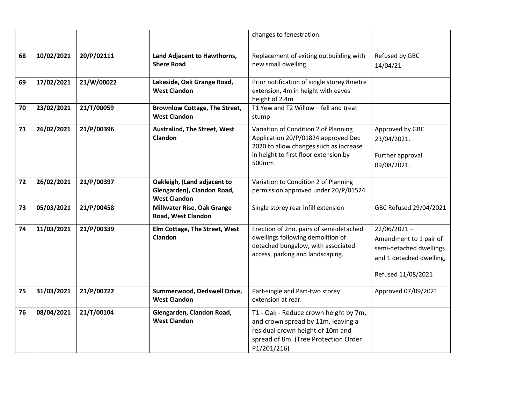|    |            |            |                                                                                  | changes to fenestration.                                                                                                                                                |                                                                                                                       |
|----|------------|------------|----------------------------------------------------------------------------------|-------------------------------------------------------------------------------------------------------------------------------------------------------------------------|-----------------------------------------------------------------------------------------------------------------------|
| 68 | 10/02/2021 | 20/P/02111 | Land Adjacent to Hawthorns,<br><b>Shere Road</b>                                 | Replacement of exiting outbuilding with<br>new small dwelling                                                                                                           | Refused by GBC<br>14/04/21                                                                                            |
| 69 | 17/02/2021 | 21/W/00022 | Lakeside, Oak Grange Road,<br><b>West Clandon</b>                                | Prior notification of single storey 8metre<br>extension, 4m in height with eaves<br>height of 2.4m                                                                      |                                                                                                                       |
| 70 | 23/02/2021 | 21/T/00059 | <b>Brownlow Cottage, The Street,</b><br><b>West Clandon</b>                      | T1 Yew and T2 Willow - fell and treat<br>stump                                                                                                                          |                                                                                                                       |
| 71 | 26/02/2021 | 21/P/00396 | <b>Australind, The Street, West</b><br><b>Clandon</b>                            | Variation of Condition 2 of Planning<br>Application 20/P/01824 approved Dec<br>2020 to allow changes such as increase<br>in height to first floor extension by<br>500mm | Approved by GBC<br>23/04/2021.<br>Further approval<br>09/08/2021.                                                     |
| 72 | 26/02/2021 | 21/P/00397 | Oakleigh, (Land adjacent to<br>Glengarden), Clandon Road,<br><b>West Clandon</b> | Variation to Condition 2 of Planning<br>permission approved under 20/P/01524                                                                                            |                                                                                                                       |
| 73 | 05/03/2021 | 21/P/00458 | Millwater Rise, Oak Grange<br>Road, West Clandon                                 | Single storey rear infill extension                                                                                                                                     | GBC Refused 29/04/2021                                                                                                |
| 74 | 11/03/2021 | 21/P/00339 | Elm Cottage, The Street, West<br>Clandon                                         | Erection of 2no. pairs of semi-detached<br>dwellings following demolition of<br>detached bungalow, with associated<br>access, parking and landscaping.                  | $22/06/2021 -$<br>Amendment to 1 pair of<br>semi-detached dwellings<br>and 1 detached dwelling,<br>Refused 11/08/2021 |
| 75 | 31/03/2021 | 21/P/00722 | Summerwood, Dedswell Drive,<br><b>West Clandon</b>                               | Part-single and Part-two storey<br>extension at rear.                                                                                                                   | Approved 07/09/2021                                                                                                   |
| 76 | 08/04/2021 | 21/T/00104 | Glengarden, Clandon Road,<br><b>West Clandon</b>                                 | T1 - Oak - Reduce crown height by 7m,<br>and crown spread by 11m, leaving a<br>residual crown height of 10m and<br>spread of 8m. (Tree Protection Order<br>P1/201/216)  |                                                                                                                       |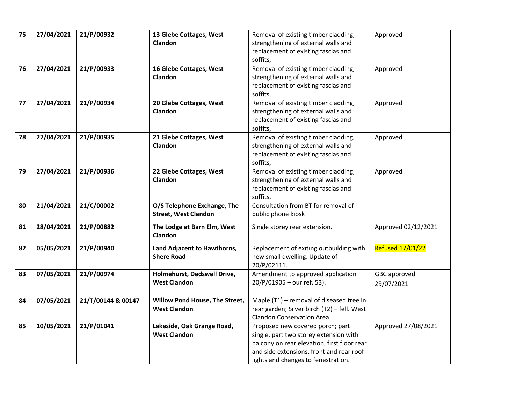| 75 | 27/04/2021 | 21/P/00932         | 13 Glebe Cottages, West        | Removal of existing timber cladding,        | Approved                |
|----|------------|--------------------|--------------------------------|---------------------------------------------|-------------------------|
|    |            |                    | Clandon                        | strengthening of external walls and         |                         |
|    |            |                    |                                | replacement of existing fascias and         |                         |
|    |            |                    |                                | soffits,                                    |                         |
| 76 | 27/04/2021 | 21/P/00933         | 16 Glebe Cottages, West        | Removal of existing timber cladding,        | Approved                |
|    |            |                    | Clandon                        | strengthening of external walls and         |                         |
|    |            |                    |                                | replacement of existing fascias and         |                         |
|    |            |                    |                                | soffits,                                    |                         |
| 77 | 27/04/2021 | 21/P/00934         | 20 Glebe Cottages, West        | Removal of existing timber cladding,        | Approved                |
|    |            |                    | Clandon                        | strengthening of external walls and         |                         |
|    |            |                    |                                | replacement of existing fascias and         |                         |
|    |            |                    |                                | soffits,                                    |                         |
| 78 | 27/04/2021 | 21/P/00935         | 21 Glebe Cottages, West        | Removal of existing timber cladding,        | Approved                |
|    |            |                    | Clandon                        | strengthening of external walls and         |                         |
|    |            |                    |                                | replacement of existing fascias and         |                         |
|    |            |                    |                                | soffits,                                    |                         |
| 79 | 27/04/2021 | 21/P/00936         | 22 Glebe Cottages, West        | Removal of existing timber cladding,        | Approved                |
|    |            |                    | <b>Clandon</b>                 | strengthening of external walls and         |                         |
|    |            |                    |                                | replacement of existing fascias and         |                         |
|    |            |                    |                                | soffits,                                    |                         |
| 80 | 21/04/2021 | 21/C/00002         | O/S Telephone Exchange, The    | Consultation from BT for removal of         |                         |
|    |            |                    | <b>Street, West Clandon</b>    | public phone kiosk                          |                         |
|    |            |                    |                                |                                             |                         |
| 81 | 28/04/2021 | 21/P/00882         | The Lodge at Barn Elm, West    | Single storey rear extension.               | Approved 02/12/2021     |
|    |            |                    | Clandon                        |                                             |                         |
| 82 | 05/05/2021 | 21/P/00940         | Land Adjacent to Hawthorns,    | Replacement of exiting outbuilding with     | <b>Refused 17/01/22</b> |
|    |            |                    | <b>Shere Road</b>              | new small dwelling. Update of               |                         |
|    |            |                    |                                | 20/P/02111.                                 |                         |
| 83 | 07/05/2021 | 21/P/00974         | Holmehurst, Dedswell Drive,    | Amendment to approved application           | GBC approved            |
|    |            |                    | <b>West Clandon</b>            | 20/P/01905 - our ref. 53).                  | 29/07/2021              |
|    |            |                    |                                |                                             |                         |
| 84 | 07/05/2021 | 21/T/00144 & 00147 | Willow Pond House, The Street, | Maple (T1) - removal of diseased tree in    |                         |
|    |            |                    | <b>West Clandon</b>            | rear garden; Silver birch (T2) - fell. West |                         |
|    |            |                    |                                | Clandon Conservation Area.                  |                         |
| 85 | 10/05/2021 | 21/P/01041         | Lakeside, Oak Grange Road,     | Proposed new covered porch; part            | Approved 27/08/2021     |
|    |            |                    | <b>West Clandon</b>            | single, part two storey extension with      |                         |
|    |            |                    |                                | balcony on rear elevation, first floor rear |                         |
|    |            |                    |                                | and side extensions, front and rear roof-   |                         |
|    |            |                    |                                | lights and changes to fenestration.         |                         |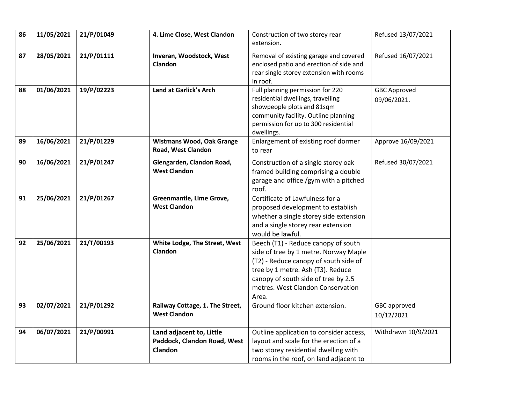| 86 | 11/05/2021 | 21/P/01049 | 4. Lime Close, West Clandon                                        | Construction of two storey rear<br>extension.                                                                                                                                                                                                   | Refused 13/07/2021                 |
|----|------------|------------|--------------------------------------------------------------------|-------------------------------------------------------------------------------------------------------------------------------------------------------------------------------------------------------------------------------------------------|------------------------------------|
| 87 | 28/05/2021 | 21/P/01111 | Inveran, Woodstock, West<br>Clandon                                | Removal of existing garage and covered<br>enclosed patio and erection of side and<br>rear single storey extension with rooms<br>in roof.                                                                                                        | Refused 16/07/2021                 |
| 88 | 01/06/2021 | 19/P/02223 | Land at Garlick's Arch                                             | Full planning permission for 220<br>residential dwellings, travelling<br>showpeople plots and 81sqm<br>community facility. Outline planning<br>permission for up to 300 residential<br>dwellings.                                               | <b>GBC Approved</b><br>09/06/2021. |
| 89 | 16/06/2021 | 21/P/01229 | <b>Wistmans Wood, Oak Grange</b><br>Road, West Clandon             | Enlargement of existing roof dormer<br>to rear                                                                                                                                                                                                  | Approve 16/09/2021                 |
| 90 | 16/06/2021 | 21/P/01247 | Glengarden, Clandon Road,<br><b>West Clandon</b>                   | Construction of a single storey oak<br>framed building comprising a double<br>garage and office /gym with a pitched<br>roof.                                                                                                                    | Refused 30/07/2021                 |
| 91 | 25/06/2021 | 21/P/01267 | Greenmantle, Lime Grove,<br><b>West Clandon</b>                    | Certificate of Lawfulness for a<br>proposed development to establish<br>whether a single storey side extension<br>and a single storey rear extension<br>would be lawful.                                                                        |                                    |
| 92 | 25/06/2021 | 21/T/00193 | White Lodge, The Street, West<br>Clandon                           | Beech (T1) - Reduce canopy of south<br>side of tree by 1 metre. Norway Maple<br>(T2) - Reduce canopy of south side of<br>tree by 1 metre. Ash (T3). Reduce<br>canopy of south side of tree by 2.5<br>metres. West Clandon Conservation<br>Area. |                                    |
| 93 | 02/07/2021 | 21/P/01292 | Railway Cottage, 1. The Street,<br><b>West Clandon</b>             | Ground floor kitchen extension.                                                                                                                                                                                                                 | GBC approved<br>10/12/2021         |
| 94 | 06/07/2021 | 21/P/00991 | Land adjacent to, Little<br>Paddock, Clandon Road, West<br>Clandon | Outline application to consider access,<br>layout and scale for the erection of a<br>two storey residential dwelling with<br>rooms in the roof, on land adjacent to                                                                             | Withdrawn 10/9/2021                |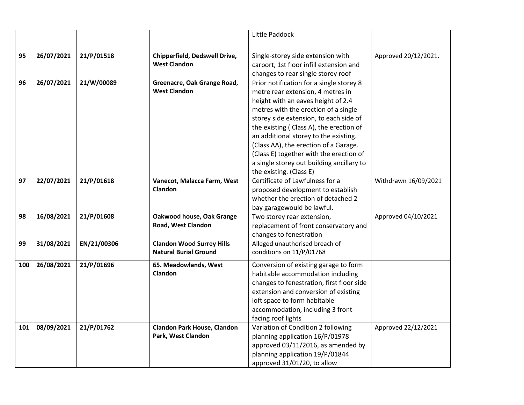|     |            |             |                                                                  | Little Paddock                                                                                                                                                                                                                                                                                                                                                                                                                                        |                      |
|-----|------------|-------------|------------------------------------------------------------------|-------------------------------------------------------------------------------------------------------------------------------------------------------------------------------------------------------------------------------------------------------------------------------------------------------------------------------------------------------------------------------------------------------------------------------------------------------|----------------------|
| 95  | 26/07/2021 | 21/P/01518  | Chipperfield, Dedswell Drive,<br><b>West Clandon</b>             | Single-storey side extension with<br>carport, 1st floor infill extension and<br>changes to rear single storey roof                                                                                                                                                                                                                                                                                                                                    | Approved 20/12/2021. |
| 96  | 26/07/2021 | 21/W/00089  | Greenacre, Oak Grange Road,<br><b>West Clandon</b>               | Prior notification for a single storey 8<br>metre rear extension, 4 metres in<br>height with an eaves height of 2.4<br>metres with the erection of a single<br>storey side extension, to each side of<br>the existing (Class A), the erection of<br>an additional storey to the existing.<br>(Class AA), the erection of a Garage.<br>(Class E) together with the erection of<br>a single storey out building ancillary to<br>the existing. (Class E) |                      |
| 97  | 22/07/2021 | 21/P/01618  | Vanecot, Malacca Farm, West<br><b>Clandon</b>                    | Certificate of Lawfulness for a<br>proposed development to establish<br>whether the erection of detached 2<br>bay garagewould be lawful.                                                                                                                                                                                                                                                                                                              | Withdrawn 16/09/2021 |
| 98  | 16/08/2021 | 21/P/01608  | Oakwood house, Oak Grange<br>Road, West Clandon                  | Two storey rear extension,<br>replacement of front conservatory and<br>changes to fenestration                                                                                                                                                                                                                                                                                                                                                        | Approved 04/10/2021  |
| 99  | 31/08/2021 | EN/21/00306 | <b>Clandon Wood Surrey Hills</b><br><b>Natural Burial Ground</b> | Alleged unauthorised breach of<br>conditions on 11/P/01768                                                                                                                                                                                                                                                                                                                                                                                            |                      |
| 100 | 26/08/2021 | 21/P/01696  | 65. Meadowlands, West<br>Clandon                                 | Conversion of existing garage to form<br>habitable accommodation including<br>changes to fenestration, first floor side<br>extension and conversion of existing<br>loft space to form habitable<br>accommodation, including 3 front-<br>facing roof lights                                                                                                                                                                                            |                      |
| 101 | 08/09/2021 | 21/P/01762  | <b>Clandon Park House, Clandon</b><br>Park, West Clandon         | Variation of Condition 2 following<br>planning application 16/P/01978<br>approved 03/11/2016, as amended by<br>planning application 19/P/01844<br>approved 31/01/20, to allow                                                                                                                                                                                                                                                                         | Approved 22/12/2021  |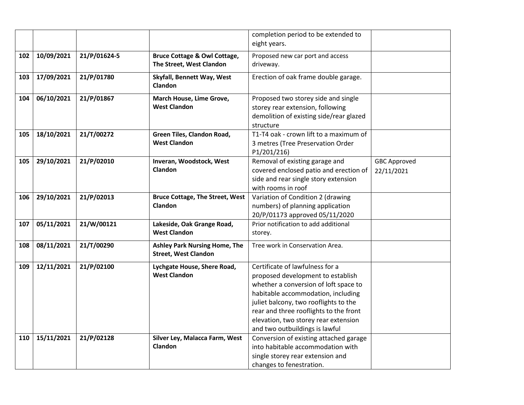|     |            |              |                                              | completion period to be extended to<br>eight years. |                     |
|-----|------------|--------------|----------------------------------------------|-----------------------------------------------------|---------------------|
|     |            |              |                                              |                                                     |                     |
| 102 | 10/09/2021 | 21/P/01624-5 | <b>Bruce Cottage &amp; Owl Cottage,</b>      | Proposed new car port and access                    |                     |
|     |            |              | The Street, West Clandon                     | driveway.                                           |                     |
| 103 | 17/09/2021 | 21/P/01780   | Skyfall, Bennett Way, West<br><b>Clandon</b> | Erection of oak frame double garage.                |                     |
| 104 | 06/10/2021 | 21/P/01867   | March House, Lime Grove,                     | Proposed two storey side and single                 |                     |
|     |            |              | <b>West Clandon</b>                          | storey rear extension, following                    |                     |
|     |            |              |                                              | demolition of existing side/rear glazed             |                     |
|     |            |              |                                              | structure                                           |                     |
| 105 | 18/10/2021 | 21/T/00272   | Green Tiles, Clandon Road,                   | T1-T4 oak - crown lift to a maximum of              |                     |
|     |            |              | <b>West Clandon</b>                          | 3 metres (Tree Preservation Order                   |                     |
|     |            |              |                                              | P1/201/216)                                         |                     |
| 105 | 29/10/2021 | 21/P/02010   | Inveran, Woodstock, West                     | Removal of existing garage and                      | <b>GBC Approved</b> |
|     |            |              | Clandon                                      | covered enclosed patio and erection of              | 22/11/2021          |
|     |            |              |                                              | side and rear single story extension                |                     |
|     |            |              |                                              | with rooms in roof                                  |                     |
| 106 | 29/10/2021 | 21/P/02013   | <b>Bruce Cottage, The Street, West</b>       | Variation of Condition 2 (drawing                   |                     |
|     |            |              | Clandon                                      | numbers) of planning application                    |                     |
|     |            |              |                                              | 20/P/01173 approved 05/11/2020                      |                     |
| 107 | 05/11/2021 | 21/W/00121   | Lakeside, Oak Grange Road,                   | Prior notification to add additional                |                     |
|     |            |              | <b>West Clandon</b>                          | storey.                                             |                     |
| 108 | 08/11/2021 | 21/T/00290   | <b>Ashley Park Nursing Home, The</b>         | Tree work in Conservation Area.                     |                     |
|     |            |              | <b>Street, West Clandon</b>                  |                                                     |                     |
| 109 | 12/11/2021 | 21/P/02100   | Lychgate House, Shere Road,                  | Certificate of lawfulness for a                     |                     |
|     |            |              | <b>West Clandon</b>                          | proposed development to establish                   |                     |
|     |            |              |                                              | whether a conversion of loft space to               |                     |
|     |            |              |                                              | habitable accommodation, including                  |                     |
|     |            |              |                                              | juliet balcony, two rooflights to the               |                     |
|     |            |              |                                              | rear and three rooflights to the front              |                     |
|     |            |              |                                              | elevation, two storey rear extension                |                     |
|     |            |              |                                              | and two outbuildings is lawful                      |                     |
| 110 | 15/11/2021 | 21/P/02128   | Silver Ley, Malacca Farm, West               | Conversion of existing attached garage              |                     |
|     |            |              | Clandon                                      | into habitable accommodation with                   |                     |
|     |            |              |                                              | single storey rear extension and                    |                     |
|     |            |              |                                              | changes to fenestration.                            |                     |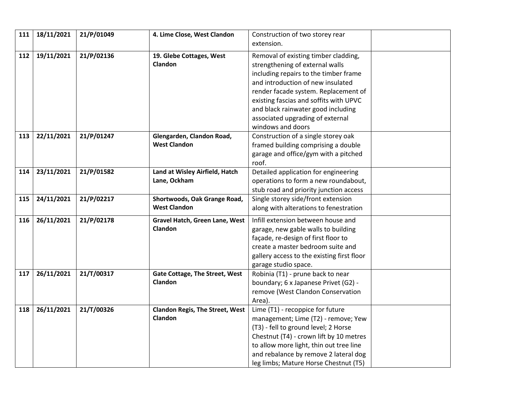| 111 | 18/11/2021 | 21/P/01049 | 4. Lime Close, West Clandon            | Construction of two storey rear<br>extension. |  |
|-----|------------|------------|----------------------------------------|-----------------------------------------------|--|
| 112 | 19/11/2021 | 21/P/02136 | 19. Glebe Cottages, West               | Removal of existing timber cladding,          |  |
|     |            |            | <b>Clandon</b>                         | strengthening of external walls               |  |
|     |            |            |                                        | including repairs to the timber frame         |  |
|     |            |            |                                        | and introduction of new insulated             |  |
|     |            |            |                                        | render facade system. Replacement of          |  |
|     |            |            |                                        | existing fascias and soffits with UPVC        |  |
|     |            |            |                                        | and black rainwater good including            |  |
|     |            |            |                                        | associated upgrading of external              |  |
|     |            |            |                                        | windows and doors                             |  |
| 113 | 22/11/2021 | 21/P/01247 | Glengarden, Clandon Road,              | Construction of a single storey oak           |  |
|     |            |            | <b>West Clandon</b>                    | framed building comprising a double           |  |
|     |            |            |                                        | garage and office/gym with a pitched          |  |
|     |            |            |                                        | roof.                                         |  |
| 114 | 23/11/2021 | 21/P/01582 | Land at Wisley Airfield, Hatch         | Detailed application for engineering          |  |
|     |            |            | Lane, Ockham                           | operations to form a new roundabout,          |  |
|     |            |            |                                        | stub road and priority junction access        |  |
| 115 | 24/11/2021 | 21/P/02217 | Shortwoods, Oak Grange Road,           | Single storey side/front extension            |  |
|     |            |            | <b>West Clandon</b>                    | along with alterations to fenestration        |  |
| 116 | 26/11/2021 | 21/P/02178 | Gravel Hatch, Green Lane, West         | Infill extension between house and            |  |
|     |            |            | Clandon                                | garage, new gable walls to building           |  |
|     |            |            |                                        | façade, re-design of first floor to           |  |
|     |            |            |                                        | create a master bedroom suite and             |  |
|     |            |            |                                        | gallery access to the existing first floor    |  |
|     |            |            |                                        | garage studio space.                          |  |
| 117 | 26/11/2021 | 21/T/00317 | Gate Cottage, The Street, West         | Robinia (T1) - prune back to near             |  |
|     |            |            | <b>Clandon</b>                         | boundary; 6 x Japanese Privet (G2) -          |  |
|     |            |            |                                        | remove (West Clandon Conservation             |  |
|     |            |            |                                        | Area).                                        |  |
| 118 | 26/11/2021 | 21/T/00326 | <b>Clandon Regis, The Street, West</b> | Lime (T1) - recoppice for future              |  |
|     |            |            | Clandon                                | management; Lime (T2) - remove; Yew           |  |
|     |            |            |                                        | (T3) - fell to ground level; 2 Horse          |  |
|     |            |            |                                        | Chestnut (T4) - crown lift by 10 metres       |  |
|     |            |            |                                        | to allow more light, thin out tree line       |  |
|     |            |            |                                        | and rebalance by remove 2 lateral dog         |  |
|     |            |            |                                        | leg limbs; Mature Horse Chestnut (T5)         |  |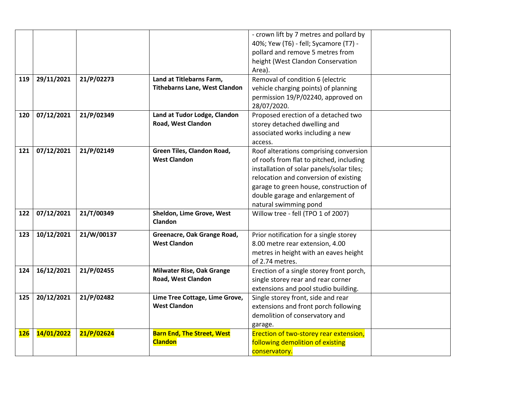|            |            |            |                                      | - crown lift by 7 metres and pollard by   |  |
|------------|------------|------------|--------------------------------------|-------------------------------------------|--|
|            |            |            |                                      | 40%; Yew (T6) - fell; Sycamore (T7) -     |  |
|            |            |            |                                      | pollard and remove 5 metres from          |  |
|            |            |            |                                      | height (West Clandon Conservation         |  |
|            |            |            |                                      | Area).                                    |  |
| 119        | 29/11/2021 | 21/P/02273 | Land at Titlebarns Farm,             | Removal of condition 6 (electric          |  |
|            |            |            | <b>Tithebarns Lane, West Clandon</b> | vehicle charging points) of planning      |  |
|            |            |            |                                      | permission 19/P/02240, approved on        |  |
|            |            |            |                                      | 28/07/2020.                               |  |
| 120        | 07/12/2021 | 21/P/02349 | Land at Tudor Lodge, Clandon         | Proposed erection of a detached two       |  |
|            |            |            | Road, West Clandon                   | storey detached dwelling and              |  |
|            |            |            |                                      | associated works including a new          |  |
|            |            |            |                                      | access.                                   |  |
| 121        | 07/12/2021 | 21/P/02149 | Green Tiles, Clandon Road,           | Roof alterations comprising conversion    |  |
|            |            |            | <b>West Clandon</b>                  | of roofs from flat to pitched, including  |  |
|            |            |            |                                      | installation of solar panels/solar tiles; |  |
|            |            |            |                                      | relocation and conversion of existing     |  |
|            |            |            |                                      | garage to green house, construction of    |  |
|            |            |            |                                      | double garage and enlargement of          |  |
|            |            |            |                                      | natural swimming pond                     |  |
| 122        | 07/12/2021 | 21/T/00349 | Sheldon, Lime Grove, West            | Willow tree - fell (TPO 1 of 2007)        |  |
|            |            |            | <b>Clandon</b>                       |                                           |  |
| 123        | 10/12/2021 | 21/W/00137 | Greenacre, Oak Grange Road,          | Prior notification for a single storey    |  |
|            |            |            | <b>West Clandon</b>                  | 8.00 metre rear extension, 4.00           |  |
|            |            |            |                                      | metres in height with an eaves height     |  |
|            |            |            |                                      | of 2.74 metres.                           |  |
| 124        | 16/12/2021 | 21/P/02455 | <b>Milwater Rise, Oak Grange</b>     | Erection of a single storey front porch,  |  |
|            |            |            | Road, West Clandon                   | single storey rear and rear corner        |  |
|            |            |            |                                      | extensions and pool studio building.      |  |
| 125        | 20/12/2021 | 21/P/02482 | Lime Tree Cottage, Lime Grove,       | Single storey front, side and rear        |  |
|            |            |            | <b>West Clandon</b>                  | extensions and front porch following      |  |
|            |            |            |                                      | demolition of conservatory and            |  |
|            |            |            |                                      | garage.                                   |  |
| <b>126</b> | 14/01/2022 | 21/P/02624 | <b>Barn End, The Street, West</b>    | Erection of two-storey rear extension,    |  |
|            |            |            | <b>Clandon</b>                       | following demolition of existing          |  |
|            |            |            |                                      | conservatory.                             |  |